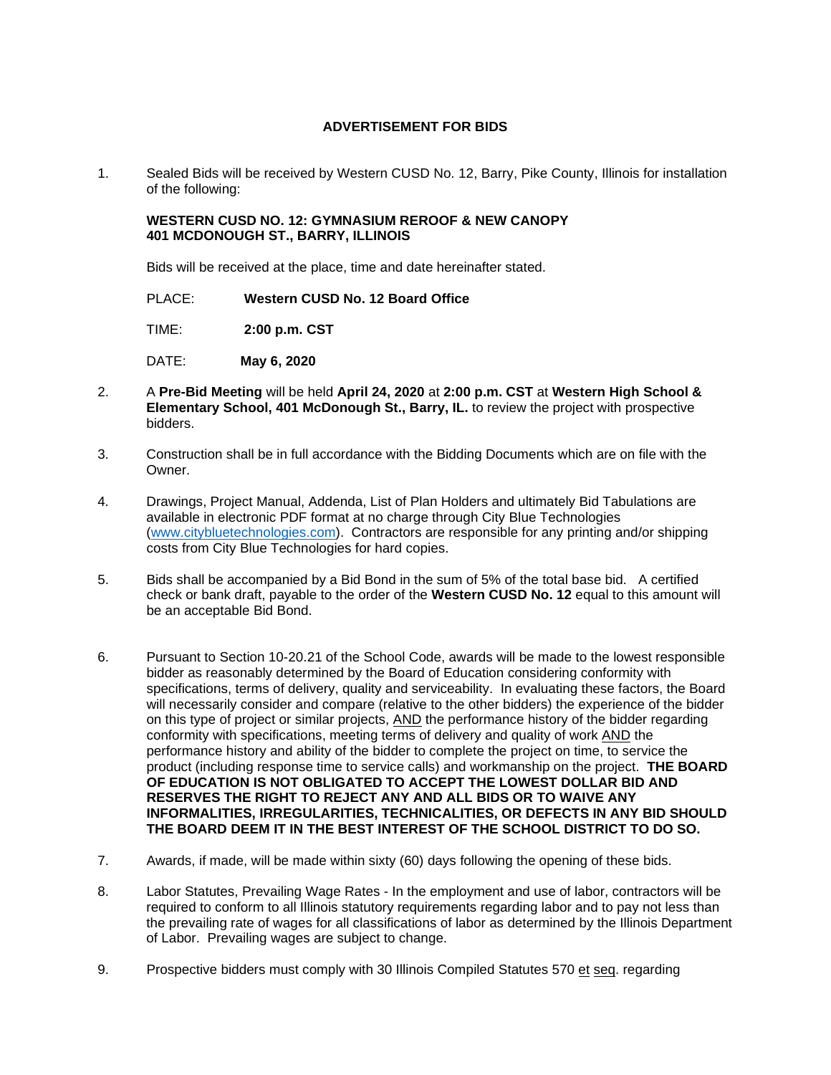## **ADVERTISEMENT FOR BIDS**

1. Sealed Bids will be received by Western CUSD No. 12, Barry, Pike County, Illinois for installation of the following:

## **WESTERN CUSD NO. 12: GYMNASIUM REROOF & NEW CANOPY 401 MCDONOUGH ST., BARRY, ILLINOIS**

Bids will be received at the place, time and date hereinafter stated.

PLACE: **Western CUSD No. 12 Board Office** 

TIME: **2:00 p.m. CST**

DATE: **May 6, 2020**

- 2. A **Pre-Bid Meeting** will be held **April 24, 2020** at **2:00 p.m. CST** at **Western High School & Elementary School, 401 McDonough St., Barry, IL.** to review the project with prospective bidders.
- 3. Construction shall be in full accordance with the Bidding Documents which are on file with the Owner.
- 4. Drawings, Project Manual, Addenda, List of Plan Holders and ultimately Bid Tabulations are available in electronic PDF format at no charge through City Blue Technologies [\(www.citybluetechnologies.com\)](http://www.citybluetechnologies.com/). Contractors are responsible for any printing and/or shipping costs from City Blue Technologies for hard copies.
- 5. Bids shall be accompanied by a Bid Bond in the sum of 5% of the total base bid. A certified check or bank draft, payable to the order of the **Western CUSD No. 12** equal to this amount will be an acceptable Bid Bond.
- 6. Pursuant to Section 10-20.21 of the School Code, awards will be made to the lowest responsible bidder as reasonably determined by the Board of Education considering conformity with specifications, terms of delivery, quality and serviceability. In evaluating these factors, the Board will necessarily consider and compare (relative to the other bidders) the experience of the bidder on this type of project or similar projects, AND the performance history of the bidder regarding conformity with specifications, meeting terms of delivery and quality of work AND the performance history and ability of the bidder to complete the project on time, to service the product (including response time to service calls) and workmanship on the project. **THE BOARD OF EDUCATION IS NOT OBLIGATED TO ACCEPT THE LOWEST DOLLAR BID AND RESERVES THE RIGHT TO REJECT ANY AND ALL BIDS OR TO WAIVE ANY INFORMALITIES, IRREGULARITIES, TECHNICALITIES, OR DEFECTS IN ANY BID SHOULD THE BOARD DEEM IT IN THE BEST INTEREST OF THE SCHOOL DISTRICT TO DO SO.**
- 7. Awards, if made, will be made within sixty (60) days following the opening of these bids.
- 8. Labor Statutes, Prevailing Wage Rates In the employment and use of labor, contractors will be required to conform to all Illinois statutory requirements regarding labor and to pay not less than the prevailing rate of wages for all classifications of labor as determined by the Illinois Department of Labor. Prevailing wages are subject to change.
- 9. Prospective bidders must comply with 30 Illinois Compiled Statutes 570 et seq. regarding